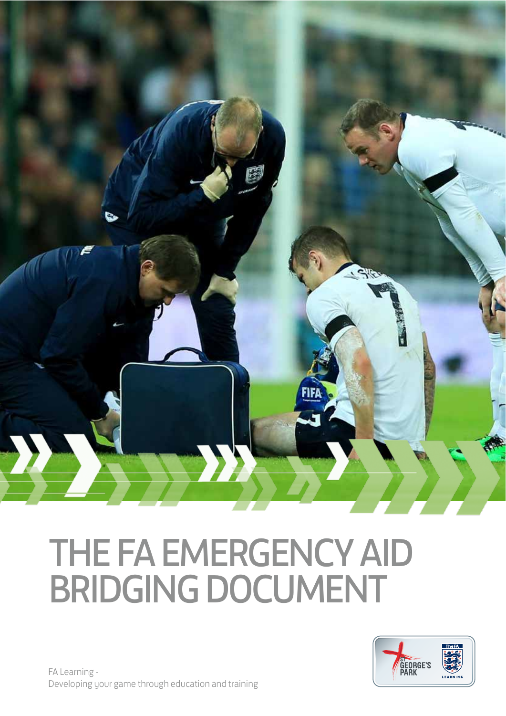

# THE FA EMERGENCY AID BRIDGING DOCUMENT



FA Learning - Developing your game through education and training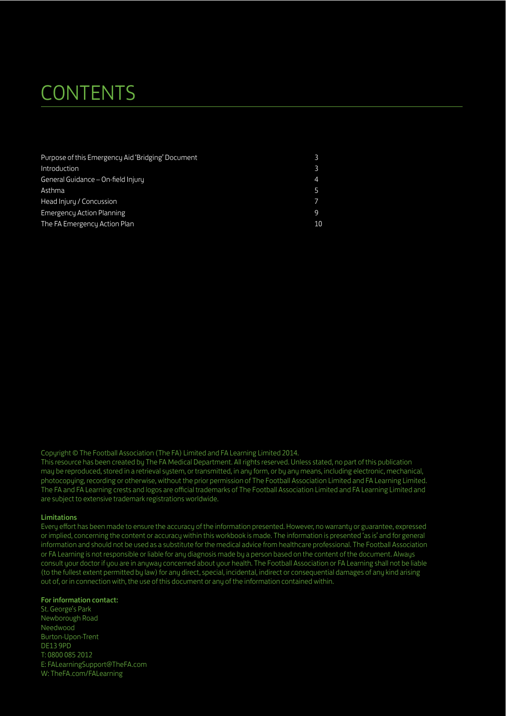### **CONTENTS**

| Purpose of this Emergency Aid 'Bridging' Document |                       |
|---------------------------------------------------|-----------------------|
| Introduction                                      |                       |
| General Guidance - On-field Injury                | $\boldsymbol{\Delta}$ |
| Asthma                                            |                       |
| Head Injury / Concussion                          |                       |
| <b>Emergency Action Planning</b>                  | 9                     |
| The FA Emergency Action Plan                      | 10                    |

Copyright © The Football Association (The FA) Limited and FA Learning Limited 2014.

This resource has been created by The FA Medical Department. All rights reserved. Unless stated, no part of this publication may be reproduced, stored in a retrieval system, or transmitted, in any form, or by any means, including electronic, mechanical, photocopying, recording or otherwise, without the prior permission of The Football Association Limited and FA Learning Limited. The FA and FA Learning crests and logos are official trademarks of The Football Association Limited and FA Learning Limited and are subject to extensive trademark registrations worldwide.

#### Limitations

Every efort has been made to ensure the accuracy of the information presented. However, no warranty or guarantee, expressed or implied, concerning the content or accuracy within this workbook is made. The information is presented 'as is' and for general information and should not be used as a substitute for the medical advice from healthcare professional. The Football Association or FA Learning is not responsible or liable for any diagnosis made by a person based on the content of the document. Always consult your doctor if you are in anyway concerned about your health. The Football Association or FA Learning shall not be liable (to the fullest extent permitted by law) for any direct, special, incidental, indirect or consequential damages of any kind arising out of, or in connection with, the use of this document or any of the information contained within.

#### For information contact:

St. George's Park Newborough Road Needwood Burton-Upon-Trent DE13 9PD T: 0800 085 2012 E: FALearningSupport@TheFA.com W: TheFA.com/FALearning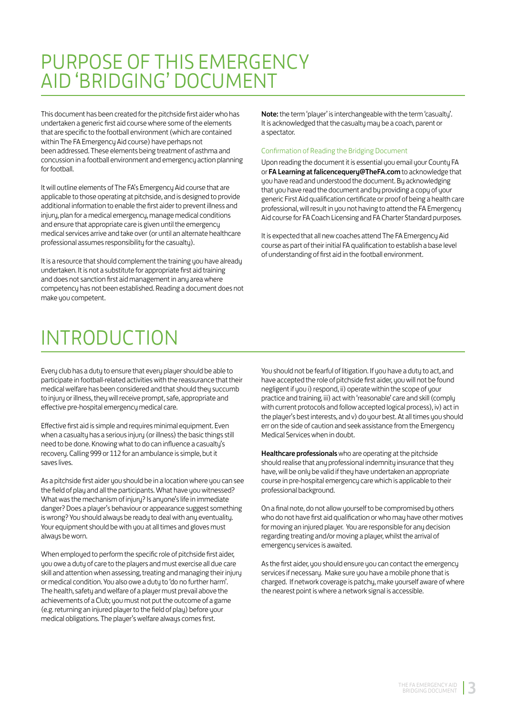### PURPOSE OF THIS EMERGENCY AID 'BRIDGING' DOCUMENT

This document has been created for the pitchside first aider who has undertaken a generic first aid course where some of the elements that are specific to the football environment (which are contained within The FA Emergency Aid course) have perhaps not been addressed. These elements being treatment of asthma and concussion in a football environment and emergency action planning for football.

It will outline elements of The FA's Emergency Aid course that are applicable to those operating at pitchside, and is designed to provide additional information to enable the first aider to prevent illness and injury, plan for a medical emergency, manage medical conditions and ensure that appropriate care is given until the emergency medical services arrive and take over (or until an alternate healthcare professional assumes responsibility for the casualty).

It is a resource that should complement the training you have already undertaken. It is not a substitute for appropriate first aid training and does not sanction first aid management in any area where competency has not been established. Reading a document does not make you competent.

Note: the term 'player' is interchangeable with the term 'casualty'. It is acknowledged that the casualty may be a coach, parent or a spectator.

#### Confirmation of Reading the Bridging Document

Upon reading the document it is essential you email your County FA or FA Learning at falicencequery@TheFA.com to acknowledge that you have read and understood the document. By acknowledging that you have read the document and by providing a copy of your generic First Aid qualification certificate or proof of being a health care professional, will result in you not having to attend the FA Emergency Aid course for FA Coach Licensing and FA Charter Standard purposes.

It is expected that all new coaches attend The FA Emergency Aid course as part of their initial FA qualification to establish a base level of understanding of first aid in the football environment.

### INTRODUCTION

Every club has a duty to ensure that every player should be able to participate in football-related activities with the reassurance that their medical welfare has been considered and that should they succumb to injury or illness, they will receive prompt, safe, appropriate and efective pre-hospital emergency medical care.

Efective first aid is simple and requires minimal equipment. Even when a casualtu has a serious injury (or illness) the basic things still need to be done. Knowing what to do can influence a casualty's recovery. Calling 999 or 112 for an ambulance is simple, but it saves lives.

As a pitchside first aider you should be in a location where you can see the field of play and all the participants. What have you witnessed? What was the mechanism of injury? Is anyone's life in immediate danger? Does a player's behaviour or appearance suggest something is wrong? You should always be ready to deal with any eventuality. Your equipment should be with you at all times and gloves must always be worn.

When employed to perform the specific role of pitchside first aider, you owe a duty of care to the players and must exercise all due care skill and attention when assessing, treating and managing their injury or medical condition. You also owe a duty to 'do no further harm'. The health, safety and welfare of a player must prevail above the achievements of a Club; you must not put the outcome of a game (e.g. returning an injured player to the field of play) before your medical obligations. The player's welfare always comes first.

You should not be fearful of litigation. If you have a duty to act, and have accepted the role of pitchside first aider, you will not be found negligent if you i) respond, ii) operate within the scope of your practice and training, iii) act with 'reasonable' care and skill (comply with current protocols and follow accepted logical process), iv) act in the player's best interests, and v) do your best. At all times you should err on the side of caution and seek assistance from the Emergency Medical Services when in doubt.

Healthcare professionals who are operating at the pitchside should realise that any professional indemnity insurance that they have, will be only be valid if they have undertaken an appropriate course in pre-hospital emergency care which is applicable to their professional background.

On a final note, do not allow yourself to be compromised by others who do not have first aid qualification or who may have other motives for moving an injured player. You are responsible for any decision regarding treating and/or moving a player, whilst the arrival of emergency services is awaited.

As the first aider, you should ensure you can contact the emergency services if necessary. Make sure you have a mobile phone that is charged. If network coverage is patchy, make yourself aware of where the nearest point is where a network signal is accessible.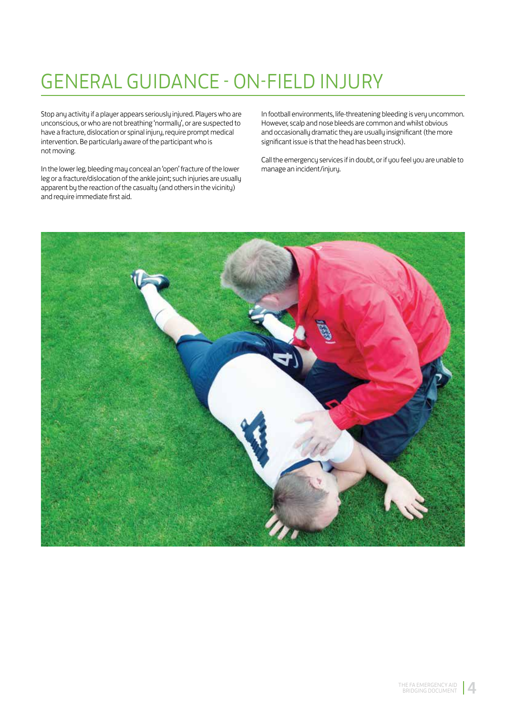### GENERAL GUIDANCE - ON-FIELD INJURY

Stop any activity if a player appears seriously injured. Players who are unconscious, or who are not breathing 'normally', or are suspected to have a fracture, dislocation or spinal injury, require prompt medical intervention. Be particularly aware of the participant who is not moving.

In the lower leg, bleeding may conceal an 'open' fracture of the lower leg or a fracture/dislocation of the ankle joint; such injuries are usually apparent by the reaction of the casualty (and others in the vicinity) and require immediate first aid.

In football environments, life-threatening bleeding is very uncommon. However, scalp and nose bleeds are common and whilst obvious and occasionally dramatic they are usually insignificant (the more significant issue is that the head has been struck).

Call the emergency services if in doubt, or if you feel you are unable to manage an incident/injury.

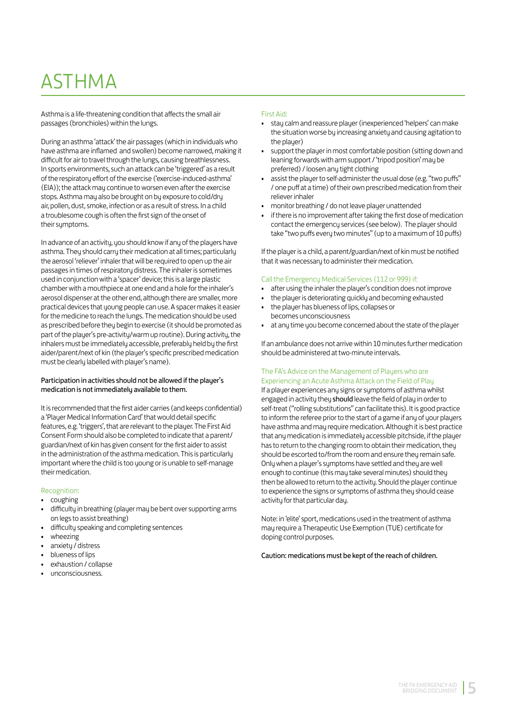### ASTHMA

Asthma is a life-threatening condition that afects the small air passages (bronchioles) within the lungs.

During an asthma 'attack' the air passages (which in individuals who have asthma are inflamed and swollen) become narrowed, making it difficult for air to travel through the lungs, causing breathlessness. In sports environments, such an attack can be 'triggered' as a result of the respiratory effort of the exercise ('exercise-induced-asthma' (EIA)); the attack may continue to worsen even after the exercise stops. Asthma may also be brought on by exposure to cold/dry air, pollen, dust, smoke, infection or as a result of stress. In a child a troublesome cough is often the first sign of the onset of their symptoms.

In advance of an activity, you should know if any of the players have asthma. They should carry their medication at all times; particularly the aerosol 'reliever' inhaler that will be required to open up the air passages in times of respiratory distress. The inhaler is sometimes used in conjunction with a 'spacer' device; this is a large plastic chamber with a mouthpiece at one end and a hole for the inhaler's aerosol dispenser at the other end, although there are smaller, more practical devices that young people can use. A spacer makes it easier for the medicine to reach the lungs. The medication should be used as prescribed before they begin to exercise (it should be promoted as part of the player's pre-activity/warm up routine). During activity, the inhalers must be immediately accessible, preferably held by the first aider/parent/next of kin (the player's specific prescribed medication must be clearly labelled with player's name).

#### Participation in activities should not be allowed if the player's medication is not immediately available to them.

It is recommended that the first aider carries (and keeps confidential) a 'Player Medical Information Card' that would detail specific features, e.g. 'triggers', that are relevant to the player. The First Aid Consent Form should also be completed to indicate that a parent/ guardian/next of kin has given consent for the first aider to assist in the administration of the asthma medication. This is particularly important where the child is too young or is unable to self-manage their medication.

#### Recognition:

- coughing
- difficultu in breathing (plauer mau be bent over supporting arms on legs to assist breathing)
- difficulty speaking and completing sentences
- wheezing
- anxiety / distress
- blueness of lips
- exhaustion / collanse
- unconsciousness.

#### First Aid:

- stay calm and reassure player (inexperienced 'helpers' can make the situation worse by increasing anxiety and causing agitation to the player)
- support the player in most comfortable position (sitting down and leaning forwards with arm support / 'tripod position' may be preferred) / loosen any tight clothing
- assist the player to self-administer the usual dose (e.g. "two puffs" / one puf at a time) of their own prescribed medication from their reliever inhaler
- monitor breathing / do not leave player unattended
- if there is no improvement after taking the first dose of medication contact the emergency services (see below). The player should take "two puffs every two minutes" (up to a maximum of 10 puffs)

If the player is a child, a parent/guardian/next of kin must be notified that it was necessary to administer their medication.

#### Call the Emergency Medical Services (112 or 999) if:

- after using the inhaler the player's condition does not improve
- the player is deteriorating quickly and becoming exhausted
- the player has blueness of lips, collapses or becomes unconsciousness
- at any time you become concerned about the state of the player

If an ambulance does not arrive within 10 minutes further medication should be administered at two-minute intervals.

#### The FA's Advice on the Management of Players who are Experiencing an Acute Asthma Attack on the Field of Play

If a player experiences any signs or symptoms of asthma whilst engaged in activity they should leave the field of play in order to self-treat ("rolling substitutions" can facilitate this). It is good practice to inform the referee prior to the start of a game if any of your players have asthma and may require medication. Although it is best practice that any medication is immediately accessible pitchside, if the player has to return to the changing room to obtain their medication, they should be escorted to/from the room and ensure they remain safe. Only when a player's symptoms have settled and they are well enough to continue (this may take several minutes) should they then be allowed to return to the activity. Should the player continue to experience the signs or symptoms of asthma they should cease activity for that particular day.

Note: in 'elite' sport, medications used in the treatment of asthma may require a Therapeutic Use Exemption (TUE) certificate for doping control purposes.

Caution: medications must be kept of the reach of children.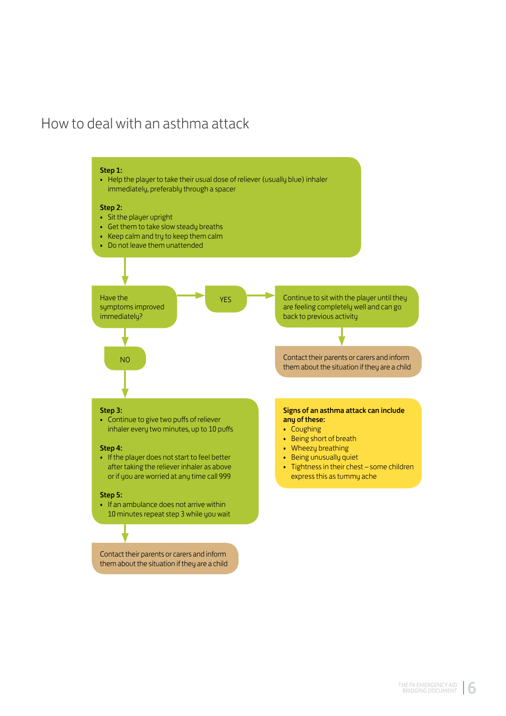### How to deal with an asthma attack

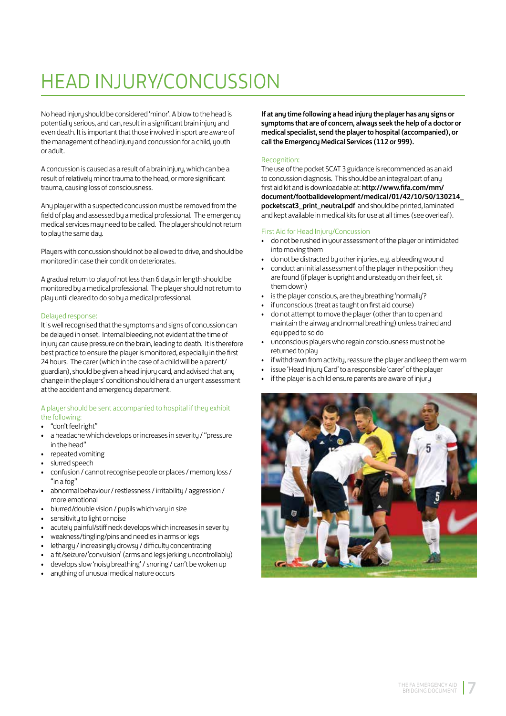## HEAD INJURY/CONCUSSION

No head injury should be considered 'minor'. A blow to the head is potentially serious, and can, result in a significant brain injury and even death. It is important that those involved in sport are aware of the management of head injury and concussion for a child, youth or adult.

A concussion is caused as a result of a brain injury, which can be a result of relatively minor trauma to the head, or more significant trauma, causing loss of consciousness.

Any player with a suspected concussion must be removed from the field of play and assessed by a medical professional. The emergency medical services may need to be called. The player should not return to play the same day.

Players with concussion should not be allowed to drive, and should be monitored in case their condition deteriorates.

A gradual return to play of not less than 6 days in length should be monitored by a medical professional. The player should not return to play until cleared to do so by a medical professional.

#### Delayed response:

It is well recognised that the sumptoms and signs of concussion can be delayed in onset. Internal bleeding, not evident at the time of injury can cause pressure on the brain, leading to death. It is therefore best practice to ensure the player is monitored, especially in the first 24 hours. The carer (which in the case of a child will be a parent/ guardian), should be given a head injury card, and advised that any change in the players' condition should herald an urgent assessment at the accident and emergency department.

#### A player should be sent accompanied to hospital if they exhibit the following:

- "don't feel right"
- a headache which develops or increases in severity / "pressure in the head'
- repeated vomiting
- slurred speech
- confusion / cannot recognise people or places / memory loss / "in a for"
- abnormal behaviour / restlessness / irritability / aggression / more emotional
- blurred/double vision / pupils which varu in size
- sensitivitu to light or noise
- acutely painful/stiff neck develops which increases in severity
- weakness/tingling/pins and needles in arms or legs
- lethargy / increasingly drowsy / difficulty concentrating
- a fit/seizure/'convulsion' (arms and legs jerking uncontrollably)
- develops slow 'noisy breathing' / snoring / can't be woken up
- anything of unusual medical nature occurs

If at any time following a head injury the player has any signs or symptoms that are of concern, always seek the help of a doctor or medical specialist, send the player to hospital (accompanied), or call the Emergency Medical Services (112 or 999).

#### Recognition:

The use of the pocket SCAT 3 guidance is recommended as an aid to concussion diagnosis. This should be an integral part of any first aid kit and is downloadable at: http://www.fifa.com/mm/ document/footballdevelopment/medical/01/42/10/50/130214\_ pocketscat3 print neutral.pdf and should be printed, laminated and kept available in medical kits for use at all times (see overleaf).

#### First Aid for Head Injury/Concussion

- do not be rushed in your assessment of the player or intimidated into moving them
- do not be distracted by other injuries, e.g. a bleeding wound
- conduct an initial assessment of the player in the position they are found (if player is upright and unsteady on their feet, sit them down)
- is the player conscious, are they breathing 'normally'?
- if unconscious (treat as taught on first aid course)
- do not attempt to move the player (other than to open and maintain the airway and normal breathing) unless trained and equipped to so do
- unconscious players who regain consciousness must not be returned to play
- if withdrawn from activity, reassure the player and keep them warm
- issue 'Head Iniuru Card' to a responsible 'carer' of the plauer
- if the player is a child ensure parents are aware of injury

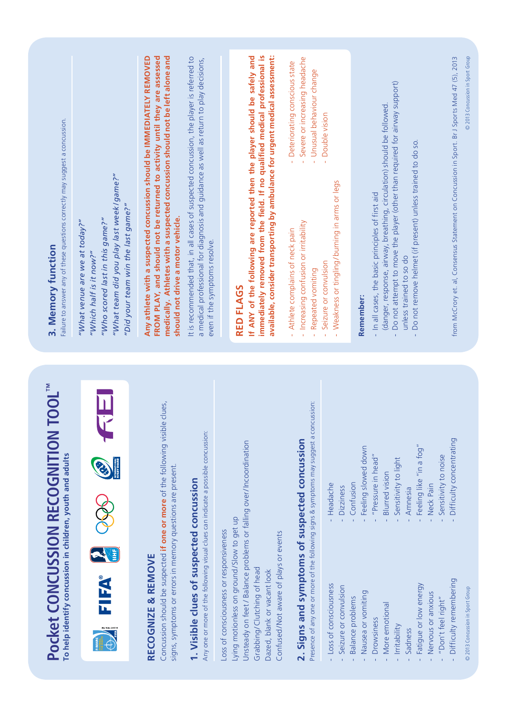| Failure to answer any of these questions correctly may suggest a concussion.<br>3. Memory function        | "What team did you play last week / game?"<br>"Did your team win the last game?"<br>"Who scored last in this game?"<br>"What venue are we at today?"<br>"Which half is it now?" | Any athlete with a suspected concussion should be IMMEDIATELY REMOVED<br>medically. Athletes with a suspected concussion should not be left alone and<br>FROM PLAY, and should not be returned to activity until they are assessed<br>It is recommended that, in all cases of suspected concussion, the player is referred to<br>should not drive a motor vehicle. | a medical professional for diagnosis and guidance as well as return to play decisions,<br>even if the symptoms resolve.       | immediately removed from the field. If no qualified medical professional is<br>If ANY of the following are reported then the player should be safely and<br>available, consider transporting by ambulance for urgent medical assessment:<br>RED FLAGS            | - Severe or increasing headache<br>- Deteriorating conscious state<br>- Unusual behaviour change<br>Increasing confusion or irritability<br>Athlete complains of neck pain<br>Repeated vomiting | Double vision<br>Weakness or tingling/burning in arms or legs<br>Seizure or convulsion                                 | Remember:                                 | Do not attempt to move the player (other than required for airway support)<br>(danger, response, airway, breathing, circulation) should be followed<br>- In all cases, the basic principles of first aid | Do not remove helmet (if present) unless trained to do so.<br>unless trained to so do          |                                                                                                                                     | 2013 Concussion in Sport Group<br>from McCrory et. al, Consensus Statement on Concussion in Sport. Br J Sports Med 47 (5), 2013 |
|-----------------------------------------------------------------------------------------------------------|---------------------------------------------------------------------------------------------------------------------------------------------------------------------------------|--------------------------------------------------------------------------------------------------------------------------------------------------------------------------------------------------------------------------------------------------------------------------------------------------------------------------------------------------------------------|-------------------------------------------------------------------------------------------------------------------------------|------------------------------------------------------------------------------------------------------------------------------------------------------------------------------------------------------------------------------------------------------------------|-------------------------------------------------------------------------------------------------------------------------------------------------------------------------------------------------|------------------------------------------------------------------------------------------------------------------------|-------------------------------------------|----------------------------------------------------------------------------------------------------------------------------------------------------------------------------------------------------------|------------------------------------------------------------------------------------------------|-------------------------------------------------------------------------------------------------------------------------------------|---------------------------------------------------------------------------------------------------------------------------------|
| <b>TOOL</b><br>Pocket CONCUSSION RECOGNITION<br>To help identify concussion in children, youth and adults | FIFA®<br><b>PER VISIT CONT OF</b>                                                                                                                                               | clues,<br>Concussion should be suspected if one or more of the following visible<br>signs, symptoms or errors in memory questions are present.<br>RECOGNIZE & REMOVE                                                                                                                                                                                               | Any one or more of the following visual clues can indicate a possible concussion:<br>1. Visible clues of suspected concussion | Unsteady on feet / Balance problems or falling over/Incoordination<br>Lying motionless on ground/Slow to get up<br>Loss of consciousness or responsiveness<br>Confused/Not aware of plays or events<br>Grabbing/Clutching of head<br>Dazed, blank or vacant look | Presence of any one or more of the following signs & symptoms may suggest a concussion:<br>2. Signs and symptoms of suspected concussion                                                        | Confusion<br>Headache<br><b>Dizziness</b><br>Loss of consciousness<br>Seizure or convulsion<br><b>Balance problems</b> | Feeling slowed down<br>Nausea or vomiting | "Pressure in head"<br><b>Blurred</b> vision<br>More emotional<br>Drowsiness<br>Irritability                                                                                                              | Feeling like "in a fog"<br>Sensitivity to light<br>Amnesia<br>Fatigue or low energy<br>Sadness | Difficulty concentrating<br>Sensitivity to noise<br>Neck Pain<br>Difficulty remembering<br>Nervous or anxious<br>"Don't feel right" | © 2013 Concussion in Sport Group                                                                                                |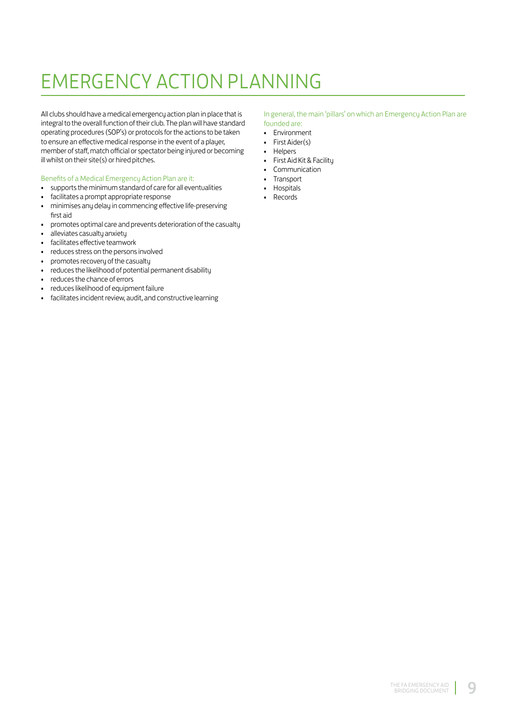### **EMERGENCY ACTION PLANNING**

All clubs should have a medical emergency action plan in place that is integral to the overall function of their club. The plan will have standard operating procedures (SOP's) or protocols for the actions to be taken to ensure an effective medical response in the event of a player, member of staff, match official or spectator being injured or becoming ill whilst on their site(s) or hired pitches.

#### Benefits of a Medical Emergency Action Plan are it:

- supports the minimum standard of care for all eventualities
- facilitates a prompt appropriate response  $\bullet$
- minimises any delay in commencing effective life-preserving  $\bullet$ first aid
- promotes optimal care and prevents deterioration of the casualty  $\bullet$
- alleviates casualty anxiety  $\bullet$
- facilitates effective teamwork  $\bullet$
- reduces stress on the persons involved  $\bullet$
- promotes recovery of the casualty  $\ddot{\phantom{0}}$
- reduces the likelihood of potential permanent disability  $\bullet$
- reduces the chance of errors  $\ddot{\phantom{0}}$
- reduces likelihood of equipment failure  $\bullet$
- facilitates incident review, audit, and constructive learning  $\bullet$

#### In general, the main 'pillars' on which an Emergency Action Plan are founded are:

- Environment
- · First Aider(s)
- · Helpers
- · First Aid Kit & Facility
- Communication
- Transport
- Hospitals
- Records